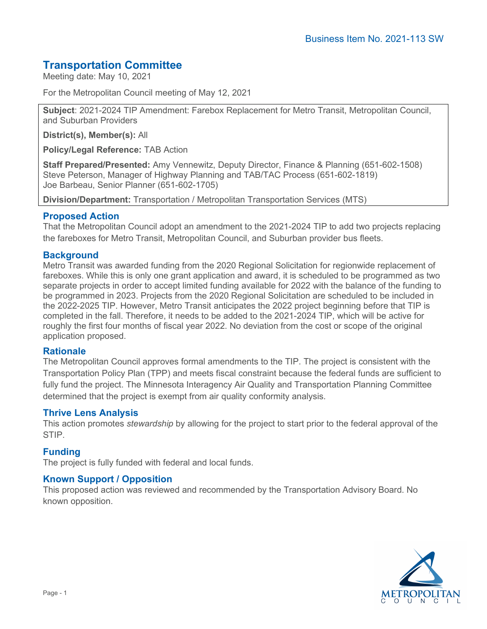# **Transportation Committee**

Meeting date: May 10, 2021

For the Metropolitan Council meeting of May 12, 2021

**Subject**: 2021-2024 TIP Amendment: Farebox Replacement for Metro Transit, Metropolitan Council, and Suburban Providers

**District(s), Member(s):** All

**Policy/Legal Reference:** TAB Action

**Staff Prepared/Presented:** Amy Vennewitz, Deputy Director, Finance & Planning (651-602-1508) Steve Peterson, Manager of Highway Planning and TAB/TAC Process (651-602-1819) Joe Barbeau, Senior Planner (651-602-1705)

**Division/Department:** Transportation / Metropolitan Transportation Services (MTS)

# **Proposed Action**

That the Metropolitan Council adopt an amendment to the 2021-2024 TIP to add two projects replacing the fareboxes for Metro Transit, Metropolitan Council, and Suburban provider bus fleets.

# **Background**

Metro Transit was awarded funding from the 2020 Regional Solicitation for regionwide replacement of fareboxes. While this is only one grant application and award, it is scheduled to be programmed as two separate projects in order to accept limited funding available for 2022 with the balance of the funding to be programmed in 2023. Projects from the 2020 Regional Solicitation are scheduled to be included in the 2022-2025 TIP. However, Metro Transit anticipates the 2022 project beginning before that TIP is completed in the fall. Therefore, it needs to be added to the 2021-2024 TIP, which will be active for roughly the first four months of fiscal year 2022. No deviation from the cost or scope of the original application proposed.

### **Rationale**

The Metropolitan Council approves formal amendments to the TIP. The project is consistent with the Transportation Policy Plan (TPP) and meets fiscal constraint because the federal funds are sufficient to fully fund the project. The Minnesota Interagency Air Quality and Transportation Planning Committee determined that the project is exempt from air quality conformity analysis.

### **Thrive Lens Analysis**

This action promotes *stewardship* by allowing for the project to start prior to the federal approval of the **STIP** 

### **Funding**

The project is fully funded with federal and local funds.

### **Known Support / Opposition**

This proposed action was reviewed and recommended by the Transportation Advisory Board. No known opposition.